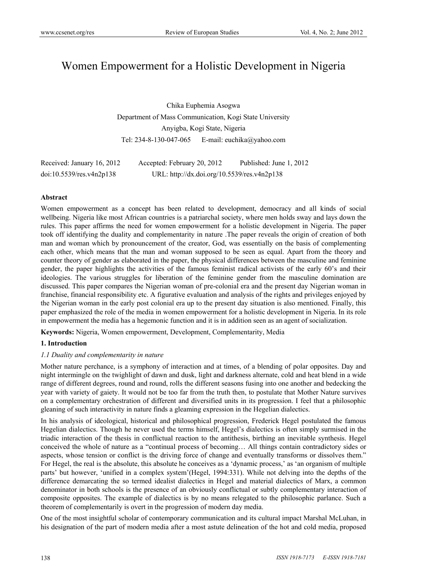# Women Empowerment for a Holistic Development in Nigeria

Chika Euphemia Asogwa Department of Mass Communication, Kogi State University Anyigba, Kogi State, Nigeria Tel: 234-8-130-047-065 E-mail: euchika@yahoo.com

| Received: January 16, 2012 | Accepted: February 20, 2012                 | Published: June 1, 2012 |
|----------------------------|---------------------------------------------|-------------------------|
| doi:10.5539/res.v4n2p138   | URL: http://dx.doi.org/10.5539/res.v4n2p138 |                         |

### **Abstract**

Women empowerment as a concept has been related to development, democracy and all kinds of social wellbeing. Nigeria like most African countries is a patriarchal society, where men holds sway and lays down the rules. This paper affirms the need for women empowerment for a holistic development in Nigeria. The paper took off identifying the duality and complementarity in nature .The paper reveals the origin of creation of both man and woman which by pronouncement of the creator, God, was essentially on the basis of complementing each other, which means that the man and woman supposed to be seen as equal. Apart from the theory and counter theory of gender as elaborated in the paper, the physical differences between the masculine and feminine gender, the paper highlights the activities of the famous feminist radical activists of the early 60's and their ideologies. The various struggles for liberation of the feminine gender from the masculine domination are discussed. This paper compares the Nigerian woman of pre-colonial era and the present day Nigerian woman in franchise, financial responsibility etc. A figurative evaluation and analysis of the rights and privileges enjoyed by the Nigerian woman in the early post colonial era up to the present day situation is also mentioned. Finally, this paper emphasized the role of the media in women empowerment for a holistic development in Nigeria. In its role in empowerment the media has a hegemonic function and it is in addition seen as an agent of socialization.

**Keywords:** Nigeria, Women empowerment, Development, Complementarity, Media

# **1. Introduction**

## *1.1 Duality and complementarity in nature*

Mother nature perchance, is a symphony of interaction and at times, of a blending of polar opposites. Day and night intermingle on the twighlight of dawn and dusk, light and darkness alternate, cold and heat blend in a wide range of different degrees, round and round, rolls the different seasons fusing into one another and bedecking the year with variety of gaiety. It would not be too far from the truth then, to postulate that Mother Nature survives on a complementary orchestration of different and diversified units in its progression. I feel that a philosophic gleaning of such interactivity in nature finds a gleaming expression in the Hegelian dialectics.

In his analysis of ideological, historical and philosophical progression, Frederick Hegel postulated the famous Hegelian dialectics. Though he never used the terms himself, Hegel's dialectics is often simply surmised in the triadic interaction of the thesis in conflictual reaction to the antithesis, birthing an inevitable synthesis. Hegel conceived the whole of nature as a "continual process of becoming… All things contain contradictory sides or aspects, whose tension or conflict is the driving force of change and eventually transforms or dissolves them." For Hegel, the real is the absolute, this absolute he conceives as a 'dynamic process,' as 'an organism of multiple parts' but however, 'unified in a complex system'(Hegel, 1994:331). While not delving into the depths of the difference demarcating the so termed idealist dialectics in Hegel and material dialectics of Marx, a common denominator in both schools is the presence of an obviously conflictual or subtly complementary interaction of composite opposites. The example of dialectics is by no means relegated to the philosophic parlance. Such a theorem of complementarily is overt in the progression of modern day media.

One of the most insightful scholar of contemporary communication and its cultural impact Marshal McLuhan, in his designation of the part of modern media after a most astute delineation of the hot and cold media, proposed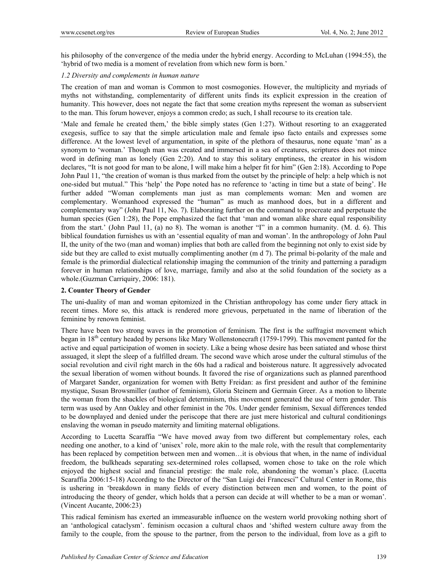his philosophy of the convergence of the media under the hybrid energy. According to McLuhan (1994:55), the 'hybrid of two media is a moment of revelation from which new form is born.'

# *1.2 Diversity and complements in human nature*

The creation of man and woman is Common to most cosmogonies. However, the multiplicity and myriads of myths not withstanding, complementarity of different units finds its explicit expression in the creation of humanity. This however, does not negate the fact that some creation myths represent the woman as subservient to the man. This forum however, enjoys a common credo; as such, I shall recourse to its creation tale.

'Male and female he created them,' the bible simply states (Gen 1:27). Without resorting to an exaggerated exegesis, suffice to say that the simple articulation male and female ipso facto entails and expresses some difference. At the lowest level of argumentation, in spite of the plethora of thesaurus, none equate 'man' as a synonym to 'woman.' Though man was created and immersed in a sea of creatures, scriptures does not mince word in defining man as lonely (Gen 2:20). And to stay this solitary emptiness, the creator in his wisdom declares, "It is not good for man to be alone, I will make him a helper fit for him" (Gen 2:18). According to Pope John Paul 11, "the creation of woman is thus marked from the outset by the principle of help: a help which is not one-sided but mutual." This 'help' the Pope noted has no reference to 'acting in time but a state of being'. He further added "Woman complements man just as man complements woman: Men and women are complementary. Womanhood expressed the "human" as much as manhood does, but in a different and complementary way" (John Paul 11, No. 7). Elaborating further on the command to procreate and perpetuate the human species (Gen 1:28), the Pope emphasized the fact that 'man and woman alike share equal responsibility from the start.' (John Paul 11, (a) no 8). The woman is another "I" in a common humanity. (M. d. 6). This biblical foundation furnishes us with an 'essential equality of man and woman'. In the anthropology of John Paul II, the unity of the two (man and woman) implies that both are called from the beginning not only to exist side by side but they are called to exist mutually complimenting another (m d 7). The primal bi-polarity of the male and female is the primordial dialectical relationship imaging the communion of the trinity and patterning a paradigm forever in human relationships of love, marriage, family and also at the solid foundation of the society as a whole.(Guzman Carriquiry, 2006: 181).

## **2. Counter Theory of Gender**

The uni-duality of man and woman epitomized in the Christian anthropology has come under fiery attack in recent times. More so, this attack is rendered more grievous, perpetuated in the name of liberation of the feminine by renown feminist.

There have been two strong waves in the promotion of feminism. The first is the suffragist movement which began in 18th century headed by persons like Mary Wollenstonecraft (1759-1799). This movement panted for the active and equal participation of women in society. Like a being whose desire has been satiated and whose thirst assuaged, it slept the sleep of a fulfilled dream. The second wave which arose under the cultural stimulus of the social revolution and civil right march in the 60s had a radical and boisterous nature. It aggressively advocated the sexual liberation of women without bounds. It favored the rise of organizations such as planned parenthood of Margaret Sander, organization for women with Betty Freidan: as first president and author of the feminine mystique, Susan Browsmiller (author of feminism), Gloria Steinem and Germain Greer. As a motion to liberate the woman from the shackles of biological determinism, this movement generated the use of term gender. This term was used by Ann Oakley and other feminist in the 70s. Under gender feminism, Sexual differences tended to be downplayed and denied under the periscope that there are just mere historical and cultural conditionings enslaving the woman in pseudo maternity and limiting maternal obligations.

According to Lucetta Scaraffia "We have moved away from two different but complementary roles, each needing one another, to a kind of 'unisex' role, more akin to the male role, with the result that complementarity has been replaced by competition between men and women…it is obvious that when, in the name of individual freedom, the bulkheads separating sex-determined roles collapsed, women chose to take on the role which enjoyed the highest social and financial prestige: the male role, abandoning the woman's place. (Lucetta Scaraffia 2006:15-18) According to the Director of the "San Luigi dei Francesci" Cultural Center in Rome, this is ushering in 'breakdown in many fields of every distinction between men and women, to the point of introducing the theory of gender, which holds that a person can decide at will whether to be a man or woman'. (Vincent Aucante, 2006:23)

This radical feminism has exerted an immeasurable influence on the western world provoking nothing short of an 'anthological cataclysm'. feminism occasion a cultural chaos and 'shifted western culture away from the family to the couple, from the spouse to the partner, from the person to the individual, from love as a gift to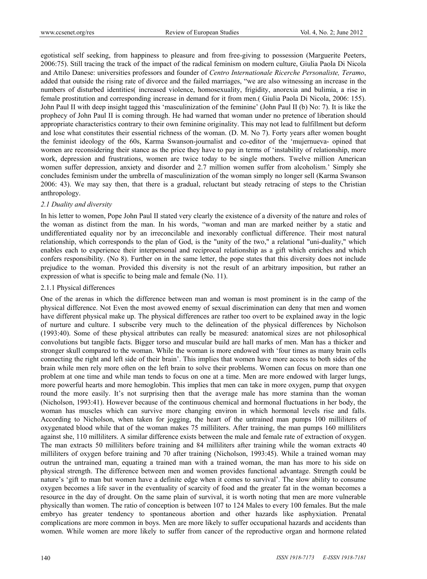egotistical self seeking, from happiness to pleasure and from free-giving to possession (Marguerite Peeters, 2006:75). Still tracing the track of the impact of the radical feminism on modern culture, Giulia Paola Di Nicola and Attilo Danese: universities professors and founder of *Centro Internationale Ricerche Personaliste, Teramo*, added that outside the rising rate of divorce and the failed marriages, "we are also witnessing an increase in the numbers of disturbed identities( increased violence, homosexuality, frigidity, anorexia and bulimia, a rise in female prostitution and corresponding increase in demand for it from men.( Giulia Paola Di Nicola, 2006: 155). John Paul II with deep insight tagged this 'masculinization of the feminine' (John Paul II (b) No: 7). It is like the prophecy of John Paul II is coming through. He had warned that woman under no pretence of liberation should appropriate characteristics contrary to their own feminine originality. This may not lead to fulfillment but deform and lose what constitutes their essential richness of the woman. (D. M. No 7). Forty years after women bought the feminist ideology of the 60s, Karma Swanson-journalist and co-editor of the 'mujernueva- opined that women are reconsidering their stance as the price they have to pay in terms of 'instability of relationship, more work, depression and frustrations, women are twice today to be single mothers. Twelve million American women suffer depression, anxiety and disorder and 2.7 million women suffer from alcoholism.' Simply she concludes feminism under the umbrella of masculinization of the woman simply no longer sell (Karma Swanson 2006: 43). We may say then, that there is a gradual, reluctant but steady retracing of steps to the Christian anthropology.

### *2.1 Duality and diversity*

In his letter to women, Pope John Paul II stated very clearly the existence of a diversity of the nature and roles of the woman as distinct from the man. In his words, "woman and man are marked neither by a static and undifferentiated equality nor by an irreconcilable and inexorably conflictual difference. Their most natural relationship, which corresponds to the plan of God, is the "unity of the two," a relational "uni-duality," which enables each to experience their interpersonal and reciprocal relationship as a gift which enriches and which confers responsibility. (No 8). Further on in the same letter, the pope states that this diversity does not include prejudice to the woman. Provided this diversity is not the result of an arbitrary imposition, but rather an expression of what is specific to being male and female (No. 11).

## 2.1.1 Physical differences

One of the arenas in which the difference between man and woman is most prominent is in the camp of the physical difference. Not Even the most avowed enemy of sexual discrimination can deny that men and women have different physical make up. The physical differences are rather too overt to be explained away in the logic of nurture and culture. I subscribe very much to the delineation of the physical differences by Nicholson (1993:40). Some of these physical attributes can really be measured: anatomical sizes are not philosophical convolutions but tangible facts. Bigger torso and muscular build are hall marks of men. Man has a thicker and stronger skull compared to the woman. While the woman is more endowed with 'four times as many brain cells connecting the right and left side of their brain'. This implies that women have more access to both sides of the brain while men rely more often on the left brain to solve their problems. Women can focus on more than one problem at one time and while man tends to focus on one at a time. Men are more endowed with larger lungs, more powerful hearts and more hemoglobin. This implies that men can take in more oxygen, pump that oxygen round the more easily. It's not surprising then that the average male has more stamina than the woman (Nicholson, 1993:41). However because of the continuous chemical and hormonal fluctuations in her body, the woman has muscles which can survive more changing environ in which hormonal levels rise and falls. According to Nicholson, when taken for jogging, the heart of the untrained man pumps 100 milliliters of oxygenated blood while that of the woman makes 75 milliliters. After training, the man pumps 160 milliliters against she, 110 milliliters. A similar difference exists between the male and female rate of extraction of oxygen. The man extracts 50 milliliters before training and 84 milliliters after training while the woman extracts 40 milliliters of oxygen before training and 70 after training (Nicholson, 1993:45). While a trained woman may outrun the untrained man, equating a trained man with a trained woman, the man has more to his side on physical strength. The difference between men and women provides functional advantage. Strength could be nature's 'gift to man but women have a definite edge when it comes to survival'. The slow ability to consume oxygen becomes a life saver in the eventuality of scarcity of food and the greater fat in the woman becomes a resource in the day of drought. On the same plain of survival, it is worth noting that men are more vulnerable physically than women. The ratio of conception is between 107 to 124 Males to every 100 females. But the male embryo has greater tendency to spontaneous abortion and other hazards like asphyxiation. Prenatal complications are more common in boys. Men are more likely to suffer occupational hazards and accidents than women. While women are more likely to suffer from cancer of the reproductive organ and hormone related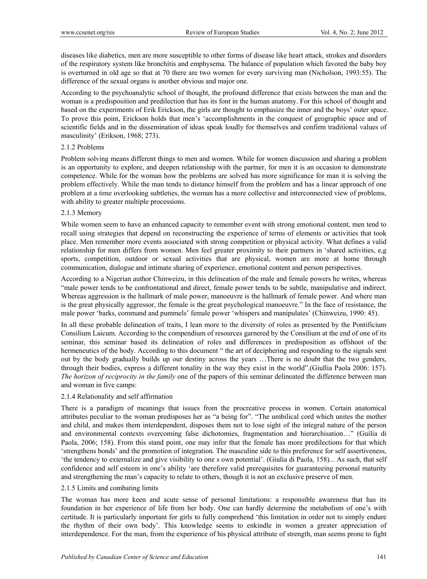diseases like diabetics, men are more susceptible to other forms of disease like heart attack, strokes and disorders of the respiratory system like bronchitis and emphysema. The balance of population which favored the baby boy is overturned in old age so that at 70 there are two women for every surviving man (Nicholson, 1993:55). The difference of the sexual organs is another obvious and major one.

According to the psychoanalytic school of thought, the profound difference that exists between the man and the woman is a predisposition and predilection that has its font in the human anatomy. For this school of thought and based on the experiments of Erik Erickson, the girls are thought to emphasize the inner and the boys' outer space. To prove this point, Erickson holds that men's 'accomplishments in the conquest of geographic space and of scientific fields and in the dissemination of ideas speak loudly for themselves and confirm traditional values of masculinity' (Erikson, 1968; 273).

## 2.1.2 Problems

Problem solving means different things to men and women. While for women discussion and sharing a problem is an opportunity to explore, and deepen relationship with the partner, for men it is an occasion to demonstrate competence. While for the woman how the problems are solved has more significance for man it is solving the problem effectively. While the man tends to distance himself from the problem and has a linear approach of one problem at a time overlooking subtleties, the woman has a more collective and interconnected view of problems, with ability to greater multiple processions.

# 2.1.3 Memory

While women seem to have an enhanced capacity to remember event with strong emotional content, men tend to recall using strategies that depend on reconstructing the experience of terms of elements or activities that took place. Men remember more events associated with strong competition or physical activity. What defines a valid relationship for men differs from women. Men feel greater proximity to their partners in 'shared activities, e,g sports, competition, outdoor or sexual activities that are physical, women are more at home through communication, dialogue and intimate sharing of experience, emotional content and person perspectives.

According to a Nigerian author Chinweizu, in this delineation of the male and female powers he writes, whereas "male power tends to be confrontational and direct, female power tends to be subtle, manipulative and indirect. Whereas aggression is the hallmark of male power, manoeuvre is the hallmark of female power. And where man is the great physically aggressor, the female is the great psychological manoeuvre." In the face of resistance, the male power 'barks, command and pummels' female power 'whispers and manipulates' (Chinweizu, 1990: 45).

In all these probable delineation of traits, I lean more to the diversity of roles as presented by the Pontificium Consilium Laicum. According to the compendium of resources garnered by the Consilium at the end of one of its seminar, this seminar based its delineation of roles and differences in predisposition as offshoot of the hermeneutics of the body. According to this document " the art of deciphering and responding to the signals sent out by the body gradually builds up our destiny across the years …There is no doubt that the two genders, through their bodies, express a different tonality in the way they exist in the world".(Giullia Paola 2006: 157). *The horizon of reciprocity in the family* one of the papers of this seminar delineated the difference between man and woman in five camps:

## 2.1.4 Relationality and self affirmation

There is a paradigm of meanings that issues from the procreative process in women. Certain anatomical attributes peculiar to the woman predisposes her as "a being for". "The umbilical cord which unites the mother and child, and makes them interdependent, disposes them not to lose sight of the integral nature of the person and environmental contexts overcoming false dichotomies, fragmentation and hierarchisation…" (Guilia di Paola, 2006; 158). From this stand point, one may infer that the female has more predilections for that which 'strengthens bonds' and the promotion of integration. The masculine side to this preference for self assertiveness, 'the tendency to externalize and give visibility to one s own potential'. (Giulia di Paola, 158)... As such, that self confidence and self esteem in one's ability 'are therefore valid prerequisites for guaranteeing personal maturity and strengthening the man's capacity to relate to others, though it is not an exclusive preserve of men.

## 2.1.5 Limits and combating limits

The woman has more keen and acute sense of personal limitations: a responsible awareness that has its foundation in her experience of life from her body. One can hardly determine the metabolism of one's with certitude. It is particularly important for girls to fully comprehend 'this limitation in order not to simply endure the rhythm of their own body'. This knowledge seems to enkindle in women a greater appreciation of interdependence. For the man, from the experience of his physical attribute of strength, man seems prone to fight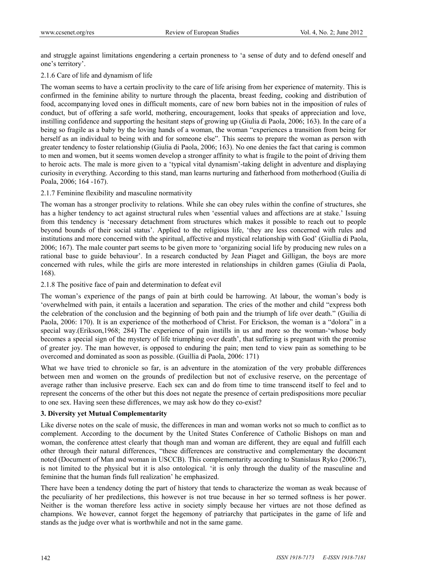and struggle against limitations engendering a certain proneness to 'a sense of duty and to defend oneself and one's territory'.

## 2.1.6 Care of life and dynamism of life

The woman seems to have a certain proclivity to the care of life arising from her experience of maternity. This is confirmed in the feminine ability to nurture through the placenta, breast feeding, cooking and distribution of food, accompanying loved ones in difficult moments, care of new born babies not in the imposition of rules of conduct, but of offering a safe world, mothering, encouragement, looks that speaks of appreciation and love, instilling confidence and supporting the hesitant steps of growing up (Giulia di Paola, 2006; 163). In the care of a being so fragile as a baby by the loving hands of a woman, the woman "experiences a transition from being for herself as an individual to being with and for someone else". This seems to prepare the woman as person with greater tendency to foster relationship (Giulia di Paola, 2006; 163). No one denies the fact that caring is common to men and women, but it seems women develop a stronger affinity to what is fragile to the point of driving them to heroic acts. The male is more given to a 'typical vital dynamism'-taking delight in adventure and displaying curiosity in everything. According to this stand, man learns nurturing and fatherhood from motherhood (Guilia di Poala, 2006; 164 -167).

## 2.1.7 Feminine flexibility and masculine normativity

The woman has a stronger proclivity to relations. While she can obey rules within the confine of structures, she has a higher tendency to act against structural rules when 'essential values and affections are at stake.' Issuing from this tendency is 'necessary detachment from structures which makes it possible to reach out to people beyond bounds of their social status'. Applied to the religious life, 'they are less concerned with rules and institutions and more concerned with the spiritual, affective and mystical relationship with God' (Giullia di Paola, 2006; 167). The male counter part seems to be given more to 'organizing social life by producing new rules on a rational base to guide behaviour'. In a research conducted by Jean Piaget and Gilligan, the boys are more concerned with rules, while the girls are more interested in relationships in children games (Giulia di Paola, 168).

# 2.1.8 The positive face of pain and determination to defeat evil

The woman's experience of the pangs of pain at birth could be harrowing. At labour, the woman's body is 'overwhelmed with pain, it entails a laceration and separation. The cries of the mother and child "express both the celebration of the conclusion and the beginning of both pain and the triumph of life over death." (Guilia di Paola, 2006: 170). It is an experience of the motherhood of Christ. For Erickson, the woman is a "dolora" in a special way.(Erikson,1968; 284) The experience of pain instills in us and more so the woman-'whose body becomes a special sign of the mystery of life triumphing over death', that suffering is pregnant with the promise of greater joy. The man however, is opposed to enduring the pain; men tend to view pain as something to be overcomed and dominated as soon as possible. (Guillia di Paola, 2006: 171)

What we have tried to chronicle so far, is an adventure in the atomization of the very probable differences between men and women on the grounds of predilection but not of exclusive reserve, on the percentage of average rather than inclusive preserve. Each sex can and do from time to time transcend itself to feel and to represent the concerns of the other but this does not negate the presence of certain predispositions more peculiar to one sex. Having seen these differences, we may ask how do they co-exist?

#### **3. Diversity yet Mutual Complementarity**

Like diverse notes on the scale of music, the differences in man and woman works not so much to conflict as to complement. According to the document by the United States Conference of Catholic Bishops on man and woman, the conference attest clearly that though man and woman are different, they are equal and fulfill each other through their natural differences, "these differences are constructive and complementary the document noted (Document of Man and woman in USCCB). This complementarity according to Stanislaus Ryko (2006:7), is not limited to the physical but it is also ontological. 'it is only through the duality of the masculine and feminine that the human finds full realization' he emphasized.

There have been a tendency doting the part of history that tends to characterize the woman as weak because of the peculiarity of her predilections, this however is not true because in her so termed softness is her power. Neither is the woman therefore less active in society simply because her virtues are not those defined as champions. We however, cannot forget the hegemony of patriarchy that participates in the game of life and stands as the judge over what is worthwhile and not in the same game.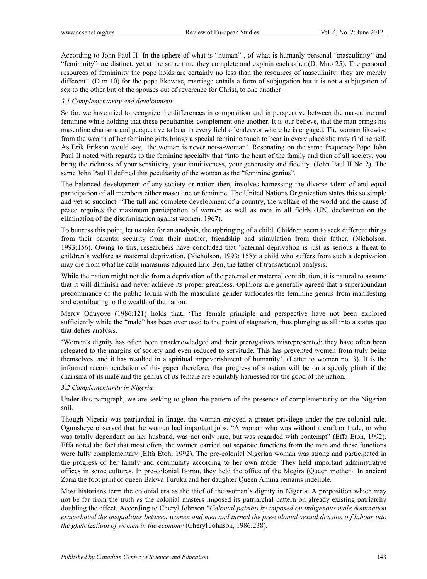According to John Paul II 'In the sphere of what is "human" , of what is humanly personal-"masculinity" and "femininity" are distinct, yet at the same time they complete and explain each other.(D. Mno 25). The personal resources of femininity the pope holds are certainly no less than the resources of masculinity: they are merely different'. (D m 10) for the pope likewise, marriage entails a form of subjugation but it is not a subjugation of sex to the other but of the spouses out of reverence for Christ, to one another

# *3.1 Complementarity and development*

So far, we have tried to recognize the differences in composition and in perspective between the masculine and feminine while holding that these peculiarities complement one another. It is our believe, that the man brings his masculine charisma and perspective to bear in every field of endeavor where he is engaged. The woman likewise from the wealth of her feminine gifts brings a special feminine touch to bear in every place she may find herself. As Erik Erikson would say, 'the woman is never not-a-woman'. Resonating on the same frequency Pope John Paul II noted with regards to the feminine specialty that "into the heart of the family and then of all society, you bring the richness of your sensitivity, your intuitiveness, your generosity and fidelity. (John Paul II No 2). The same John Paul II defined this peculiarity of the woman as the "feminine genius".

The balanced development of any society or nation then, involves harnessing the diverse talent of and equal participation of all members either masculine or feminine. The United Nations Organization states this so simple and yet so succinct. "The full and complete development of a country, the welfare of the world and the cause of peace requires the maximum participation of women as well as men in all fields (UN, declaration on the elimination of the discrimination against women. 1967).

To buttress this point, let us take for an analysis, the upbringing of a child. Children seem to seek different things from their parents: security from their mother, friendship and stimulation from their father. (Nicholson, 1993;156). Owing to this, researchers have concluded that 'paternal deprivation is just as serious a threat to children's welfare as maternal deprivation. (Nicholson, 1993; 158): a child who suffers from such a deprivation may die from what he calls marasmus adjoined Eric Ben, the father of transactional analysis.

While the nation might not die from a deprivation of the paternal or maternal contribution, it is natural to assume that it will diminish and never achieve its proper greatness. Opinions are generally agreed that a superabundant predominance of the public forum with the masculine gender suffocates the feminine genius from manifesting and contributing to the wealth of the nation.

Mercy Oduyoye (1986:121) holds that, 'The female principle and perspective have not been explored sufficiently while the "male" has been over used to the point of stagnation, thus plunging us all into a status quo that defies analysis.

'Women's dignity has often been unacknowledged and their prerogatives misrepresented; they have often been relegated to the margins of society and even reduced to servitude. This has prevented women from truly being themselves, and it has resulted in a spiritual impoverishment of humanity'. (Letter to women no. 3). It is the informed recommendation of this paper therefore, that progress of a nation will be on a speedy plinth if the charisma of its male and the genius of its female are equitably harnessed for the good of the nation.

## *3.2 Complementarity in Nigeria*

Under this paragraph, we are seeking to glean the pattern of the presence of complementarity on the Nigerian soil.

Though Nigeria was patriarchal in linage, the woman enjoyed a greater privilege under the pre-colonial rule. Ogunsheye observed that the woman had important jobs. "A woman who was without a craft or trade, or who was totally dependent on her husband, was not only rare, but was regarded with contempt" (Effa Etoh, 1992). Effa noted the fact that most often, the women carried out separate functions from the men and these functions were fully complementary (Effa Etoh, 1992). The pre-colonial Nigerian woman was strong and participated in the progress of her family and community according to her own mode. They held important administrative offices in some cultures. In pre-colonial Bornu, they held the office of the Megira (Queen mother). In ancient Zaria the foot print of queen Bakwa Turuku and her daughter Queen Amina remains indelible.

Most historians term the colonial era as the thief of the woman's dignity in Nigeria. A proposition which may not be far from the truth as the colonial masters imposed its patriarchal pattern on already existing patriarchy doubling the effect. According to Cheryl Johnson "*Colonial patriarchy imposed on indigenous male domination exacerbated the inequalities between women and men and turned the pre-colonial sexual division o f labour into the ghetoizatioin of women in the economy* (Cheryl Johnson, 1986:238).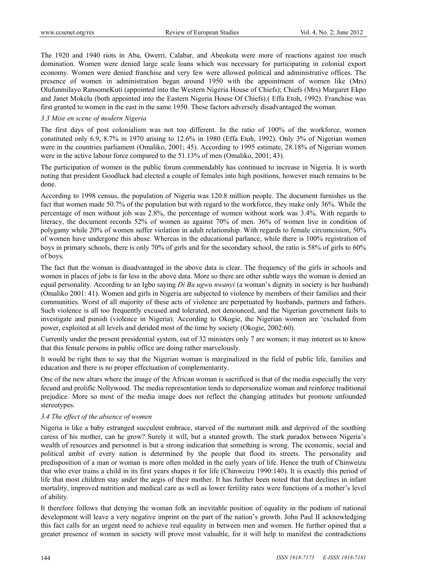The 1920 and 1940 riots in Aba, Owerri, Calabar, and Abeokuta were more of reactions against too much domination. Women were denied large scale loans which was necessary for participating in colonial export economy. Women were denied franchise and very few were allowed political and administrative offices. The presence of women in administration began around 1950 with the appointment of women like (Mrs) Olufunmilayo RansomeKuti (appointed into the Western Nigeria House of Chiefs); Chiefs (Mrs) Margaret Ekpo and Janet Mokelu (both appointed into the Eastern Nigeria House Of Chiefs).( Effa Etoh, 1992). Franchise was first granted to women in the east in the same 1950. These factors adversely disadvantaged the woman.

## *3.3 Mise en scene of modern Nigeria*

The first days of post colonialism was not too different. In the ratio of 100% of the workforce, women constituted only 6.9, 8.7% in 1970 arising to 12.6% in 1980 (Effa Etoh, 1992). Only 3% of Nigerian women were in the countries parliament (Omaliko, 2001; 45). According to 1995 estimate, 28.18% of Nigerian women were in the active labour force compared to the 51.13% of men (Omaliko, 2001; 43).

The participation of women in the public forum commendably has continued to increase in Nigeria. It is worth noting that president Goodluck had elected a couple of females into high positions, however much remains to be done.

According to 1998 census, the population of Nigeria was 120.8 million people. The document furnishes us the fact that women made 50.7% of the population but with regard to the workforce, they make only 36%. While the percentage of men without job was 2.8%, the percentage of women without work was 3.4%. With regards to literacy, the document records 52% of women as against 70% of men. 36% of women live in condition of polygamy while 20% of women suffer violation in adult relationship. With regards to female circumcision, 50% of women have undergone this abuse. Whereas in the educational parlance, while there is 100% registration of boys in primary schools, there is only 70% of girls and for the secondary school, the ratio is 58% of girls to 60% of boys.

The fact that the woman is disadvantaged in the above data is clear. The frequency of the girls in schools and women in places of jobs is far less in the above data. More so there are other subtle ways the woman is denied an equal personality. According to an Igbo saying *Di Bu ugwu nwanyi* (a woman's dignity in society is her husband) (Omaliko 2001: 41). Women and girls in Nigeria are subjected to violence by members of their families and their communities. Worst of all majority of these acts of violence are perpetuated by husbands, partners and fathers. Such violence is all too frequently excused and tolerated, not denounced, and the Nigerian government fails to investigate and punish (violence in Nigeria). According to Okogie, the Nigerian women are 'excluded from power, exploited at all levels and derided most of the time by society (Okogie, 2002:60).

Currently under the present presidential system, out of 32 ministers only 7 are women; it may interest us to know that this female persons in public office are doing rather marvelously.

It would be right then to say that the Nigerian woman is marginalized in the field of public life, families and education and there is no proper effectuation of complementarity.

One of the new altars where the image of the African woman is sacrificed is that of the media especially the very fecund and prolific Nollywood. The media representation tends to depersonalize woman and reinforce traditional prejudice. More so most of the media image does not reflect the changing attitudes but promote unfounded stereotypes.

#### *3.4 The effect of the absence of women*

Nigeria is like a baby estranged succulent embrace, starved of the nurturant milk and deprived of the soothing caress of his mother, can he grow? Surely it will, but a stunted growth. The stark paradox between Nigeria's wealth of resources and personnel is but a strong indication that something is wrong. The economic, social and political ambit of every nation is determined by the people that flood its streets. The personality and predisposition of a man or woman is more often molded in the early years of life. Hence the truth of Chinweizu that who ever trains a child in its first years shapes it for life (Chinweizu 1990:140). It is exactly this period of life that most children stay under the aegis of their mother. It has further been noted that that declines in infant mortality, improved nutrition and medical care as well as lower fertility rates were functions of a mother's level of ability.

It therefore follows that denying the woman folk an inevitable position of equality in the podium of national development will leave a very negative imprint on the part of the nation's growth. John Paul II acknowledging this fact calls for an urgent need to achieve real equality in between men and women. He further opined that a greater presence of women in society will prove most valuable, for it will help to manifest the contradictions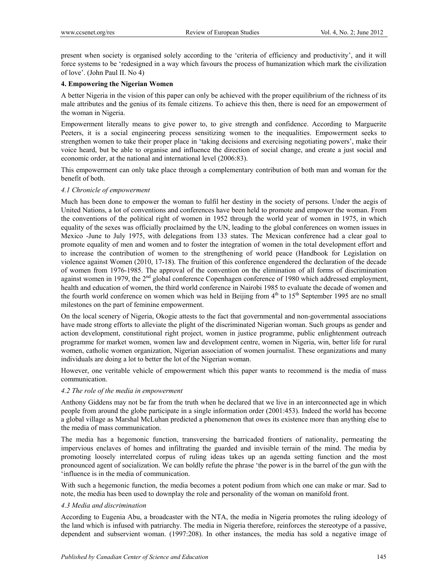present when society is organised solely according to the 'criteria of efficiency and productivity', and it will force systems to be 'redesigned in a way which favours the process of humanization which mark the civilization of love'. (John Paul II. No 4)

### **4. Empowering the Nigerian Women**

A better Nigeria in the vision of this paper can only be achieved with the proper equilibrium of the richness of its male attributes and the genius of its female citizens. To achieve this then, there is need for an empowerment of the woman in Nigeria.

Empowerment literally means to give power to, to give strength and confidence. According to Marguerite Peeters, it is a social engineering process sensitizing women to the inequalities. Empowerment seeks to strengthen women to take their proper place in 'taking decisions and exercising negotiating powers', make their voice heard, but be able to organise and influence the direction of social change, and create a just social and economic order, at the national and international level (2006:83).

This empowerment can only take place through a complementary contribution of both man and woman for the benefit of both.

## *4.1 Chronicle of empowerment*

Much has been done to empower the woman to fulfil her destiny in the society of persons. Under the aegis of United Nations, a lot of conventions and conferences have been held to promote and empower the woman. From the conventions of the political right of women in 1952 through the world year of women in 1975, in which equality of the sexes was officially proclaimed by the UN, leading to the global conferences on women issues in Mexico -June to July 1975, with delegations from 133 states. The Mexican conference had a clear goal to promote equality of men and women and to foster the integration of women in the total development effort and to increase the contribution of women to the strengthening of world peace (Handbook for Legislation on violence against Women (2010, 17-18). The fruition of this conference engendered the declaration of the decade of women from 1976-1985. The approval of the convention on the elimination of all forms of discrimination against women in 1979, the 2<sup>nd</sup> global conference Copenhagen conference of 1980 which addressed employment, health and education of women, the third world conference in Nairobi 1985 to evaluate the decade of women and the fourth world conference on women which was held in Beijing from  $4<sup>th</sup>$  to  $15<sup>th</sup>$  September 1995 are no small milestones on the part of feminine empowerment.

On the local scenery of Nigeria, Okogie attests to the fact that governmental and non-governmental associations have made strong efforts to alleviate the plight of the discriminated Nigerian woman. Such groups as gender and action development, constitutional right project, women in justice programme, public enlightenment outreach programme for market women, women law and development centre, women in Nigeria, win, better life for rural women, catholic women organization, Nigerian association of women journalist. These organizations and many individuals are doing a lot to better the lot of the Nigerian woman.

However, one veritable vehicle of empowerment which this paper wants to recommend is the media of mass communication.

#### *4.2 The role of the media in empowerment*

Anthony Giddens may not be far from the truth when he declared that we live in an interconnected age in which people from around the globe participate in a single information order (2001:453). Indeed the world has become a global village as Marshal McLuhan predicted a phenomenon that owes its existence more than anything else to the media of mass communication.

The media has a hegemonic function, transversing the barricaded frontiers of nationality, permeating the impervious enclaves of homes and infiltrating the guarded and invisible terrain of the mind. The media by promoting loosely interrelated corpus of ruling ideas takes up an agenda setting function and the most pronounced agent of socialization. We can boldly refute the phrase 'the power is in the barrel of the gun with the 'influence is in the media of communication.

With such a hegemonic function, the media becomes a potent podium from which one can make or mar. Sad to note, the media has been used to downplay the role and personality of the woman on manifold front.

#### *4.3 Media and discrimination*

According to Eugenia Abu, a broadcaster with the NTA, the media in Nigeria promotes the ruling ideology of the land which is infused with patriarchy. The media in Nigeria therefore, reinforces the stereotype of a passive, dependent and subservient woman. (1997:208). In other instances, the media has sold a negative image of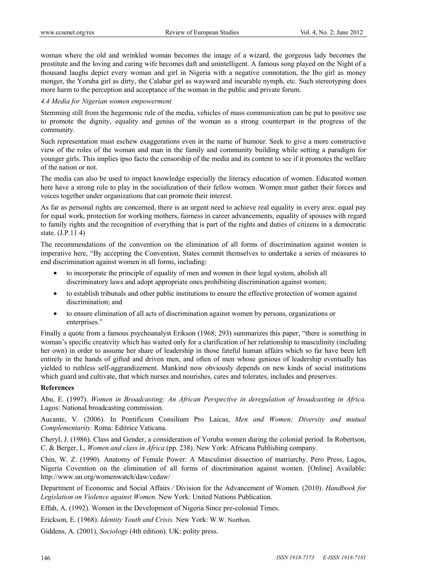woman where the old and wrinkled woman becomes the image of a wizard, the gorgeous lady becomes the prostitute and the loving and caring wife becomes daft and unintelligent. A famous song played on the Night of a thousand laughs depict every woman and girl in Nigeria with a negative connotation, the Ibo girl as money monger, the Yoruba girl as dirty, the Calabar girl as wayward and incurable nymph, etc. Such stereotyping does more harm to the perception and acceptance of the woman in the public and private forum.

## *4.4 Media for Nigerian women empowerment*

Stemming still from the hegemonic rule of the media, vehicles of mass communication can be put to positive use to promote the dignity, equality and genius of the woman as a strong counterpart in the progress of the community.

Such representation must eschew exaggerations even in the name of humour. Seek to give a more constructive view of the roles of the woman and man in the family and community building while setting a paradigm for younger girls. This implies ipso facto the censorship of the media and its content to see if it promotes the welfare of the nation or not.

The media can also be used to impact knowledge especially the literacy education of women. Educated women here have a strong role to play in the socialization of their fellow women. Women must gather their forces and voices together under organizations that can promote their interest.

As far as personal rights are concerned, there is an urgent need to achieve real equality in every area: equal pay for equal work, protection for working mothers, fairness in career advancements, equality of spouses with regard to family rights and the recognition of everything that is part of the rights and duties of citizens in a democratic state. (J.P.11 4)

The recommendations of the convention on the elimination of all forms of discrimination against women is imperative here, "By accepting the Convention, States commit themselves to undertake a series of measures to end discrimination against women in all forms, including:

- to incorporate the principle of equality of men and women in their legal system, abolish all discriminatory laws and adopt appropriate ones prohibiting discrimination against women;
- to establish tribunals and other public institutions to ensure the effective protection of women against discrimination; and
- to ensure elimination of all acts of discrimination against women by persons, organizations or enterprises."

Finally a quote from a famous psychoanalyst Erikson (1968; 293) summarizes this paper, "there is something in woman's specific creativity which has waited only for a clarification of her relationship to masculinity (including her own) in order to assume her share of leadership in those fateful human affairs which so far have been left entirely in the hands of gifted and driven men, and often of men whose genious of leadership eventually has yielded to ruthless self-aggrandizement. Mankind now obviously depends on new kinds of social institutions which guard and cultivate, that which nurses and nourishes, cares and tolerates, includes and preserves.

## **References**

Abu, E. (1997). *Women in Broadcasting: An African Perspective in deregulation of broadcasting in Africa.*  Lagos: National broadcasting commission.

Aucante, V. (2006). In Pontificum Consilium Pro Laicas, *Men and Women; Diversity and mutual Complementarity.* Roma: Editrice Vaticana.

Cheryl, J. (1986). Class and Gender, a consideration of Yoruba women during the colonial period. In Robertson, C. & Berger, I., *Women and class in Africa* (pp. 238). New York: Africana Publishing company.

Chin, W. Z. (1990). Anatomy of Female Power: A Masculinist dissection of matriarchy. Pero Press, Lagos, Nigeria Covention on the elimination of all forms of discrimination against women. [Online] Available: http://www.un.org/womenwatch/daw/cedaw/

Department of Economic and Social Affairs ⁄ Division for the Advancement of Women. (2010). *Handbook for Legislation on Violence against Women.* New York: United Nations Publication.

Effah, A. (1992). Women in the Development of Nigeria Since pre-colonial Times.

Erickson, E. (1968). *Identity Youth and Crisis.* New York: W.W. Northon.

Giddens, A. (2001). *Sociology* (4th edition). UK: polity press.